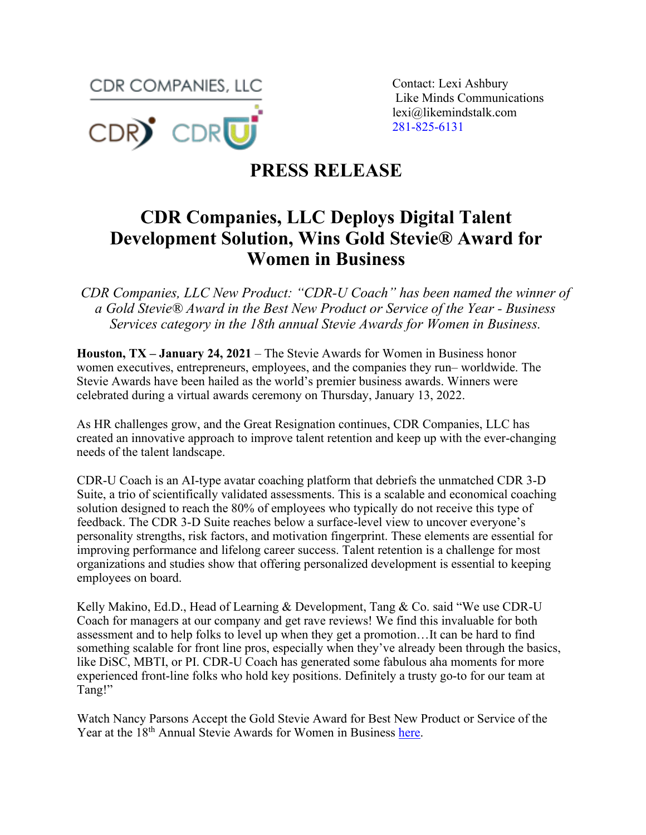**CDR COMPANIES, LLC** Contact: Lexi Ashbury



Like Minds Communications lexi@likemindstalk.com 281-825-6131

## **PRESS RELEASE**

## **CDR Companies, LLC Deploys Digital Talent Development Solution, Wins Gold Stevie® Award for Women in Business**

*CDR Companies, LLC New Product: "CDR-U Coach" has been named the winner of a Gold Stevie® Award in the Best New Product or Service of the Year - Business Services category in the 18th annual Stevie Awards for Women in Business.* 

**Houston, TX – January 24, 2021** – The Stevie Awards for Women in Business honor women executives, entrepreneurs, employees, and the companies they run– worldwide. The Stevie Awards have been hailed as the world's premier business awards. Winners were celebrated during a virtual awards ceremony on Thursday, January 13, 2022.

As HR challenges grow, and the Great Resignation continues, CDR Companies, LLC has created an innovative approach to improve talent retention and keep up with the ever-changing needs of the talent landscape.

CDR-U Coach is an AI-type avatar coaching platform that debriefs the unmatched CDR 3-D Suite, a trio of scientifically validated assessments. This is a scalable and economical coaching solution designed to reach the 80% of employees who typically do not receive this type of feedback. The CDR 3-D Suite reaches below a surface-level view to uncover everyone's personality strengths, risk factors, and motivation fingerprint. These elements are essential for improving performance and lifelong career success. Talent retention is a challenge for most organizations and studies show that offering personalized development is essential to keeping employees on board.

Kelly Makino, Ed.D., Head of Learning & Development, Tang & Co. said "We use CDR-U Coach for managers at our company and get rave reviews! We find this invaluable for both assessment and to help folks to level up when they get a promotion…It can be hard to find something scalable for front line pros, especially when they've already been through the basics, like DiSC, MBTI, or PI. CDR-U Coach has generated some fabulous aha moments for more experienced front-line folks who hold key positions. Definitely a trusty go-to for our team at Tang!"

Watch Nancy Parsons Accept the Gold Stevie Award for Best New Product or Service of the Year at the 18<sup>th</sup> Annual Stevie Awards for Women in Business [here.](https://www.youtube.com/watch?v=N4GKzF_Mops&list=PLxZrTaLFgyEKI_P4OcjWjmStowzSCCal0&index=5)